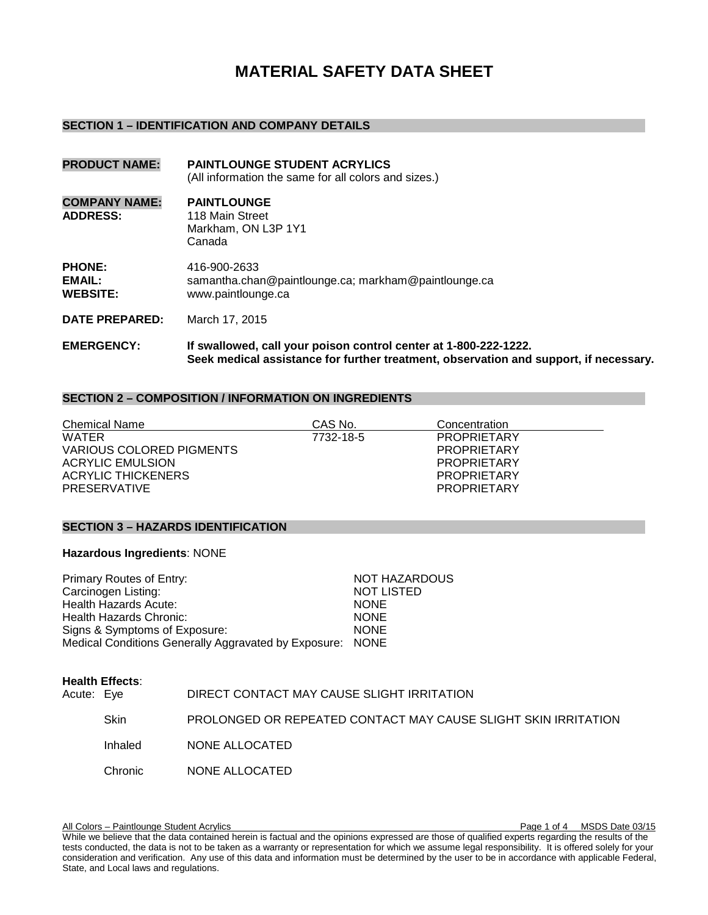# **MATERIAL SAFETY DATA SHEET**

#### **SECTION 1 – IDENTIFICATION AND COMPANY DETAILS**

| <b>PRODUCT NAME:</b>                       | <b>PAINTLOUNGE STUDENT ACRYLICS</b><br>(All information the same for all colors and sizes.) |
|--------------------------------------------|---------------------------------------------------------------------------------------------|
| <b>COMPANY NAME:</b><br><b>ADDRESS:</b>    | <b>PAINTLOUNGE</b><br>118 Main Street<br>Markham, ON L3P 1Y1<br>Canada                      |
| <b>PHONE:</b><br>EMAIL:<br><b>WEBSITE:</b> | 416-900-2633<br>samantha.chan@paintlounge.ca; markham@paintlounge.ca<br>www.paintlounge.ca  |
| <b>DATE PREPARED:</b>                      | March 17, 2015                                                                              |
| FMFRAFNAV.                                 | <u>If annallannad is all varie mateor against against at 4,000,000 4000</u>                 |

#### **EMERGENCY: If swallowed, call your poison control center at 1-800-222-1222. Seek medical assistance for further treatment, observation and support, if necessary.**

#### **SECTION 2 – COMPOSITION / INFORMATION ON INGREDIENTS**

| Chemical Name            | CAS No.   | Concentration      |
|--------------------------|-----------|--------------------|
| <b>WATER</b>             | 7732-18-5 | <b>PROPRIETARY</b> |
| VARIOUS COLORED PIGMENTS |           | <b>PROPRIETARY</b> |
| ACRYLIC EMULSION         |           | <b>PROPRIETARY</b> |
| ACRYLIC THICKENERS       |           | <b>PROPRIETARY</b> |
| <b>PRESERVATIVE</b>      |           | <b>PROPRIETARY</b> |

#### **SECTION 3 – HAZARDS IDENTIFICATION**

### **Hazardous Ingredients**: NONE

| Primary Routes of Entry:                                  | <b>NOT HAZARDOUS</b> |
|-----------------------------------------------------------|----------------------|
| Carcinogen Listing:                                       | <b>NOT LISTED</b>    |
| Health Hazards Acute:                                     | <b>NONE</b>          |
| Health Hazards Chronic:                                   | <b>NONE</b>          |
| Signs & Symptoms of Exposure:                             | <b>NONE</b>          |
| Medical Conditions Generally Aggravated by Exposure: NONE |                      |

|            | <b>Health Effects:</b> |                                                                |
|------------|------------------------|----------------------------------------------------------------|
| Acute: Eye |                        | DIRECT CONTACT MAY CAUSE SLIGHT IRRITATION                     |
|            | Skin                   | PROLONGED OR REPEATED CONTACT MAY CAUSE SLIGHT SKIN IRRITATION |
|            | Inhaled                | NONE ALLOCATED                                                 |
|            | Chronic.               | NONE ALLOCATED                                                 |

All Colors – Paintlounge Student Acrylics **Page 1 of 4 MSDS Date 03/15** All Colors – Page 1 of 4 MSDS Date 03/15 While we believe that the data contained herein is factual and the opinions expressed are those of qualified experts regarding the results of the tests conducted, the data is not to be taken as a warranty or representation for which we assume legal responsibility. It is offered solely for your consideration and verification. Any use of this data and information must be determined by the user to be in accordance with applicable Federal, State, and Local laws and regulations.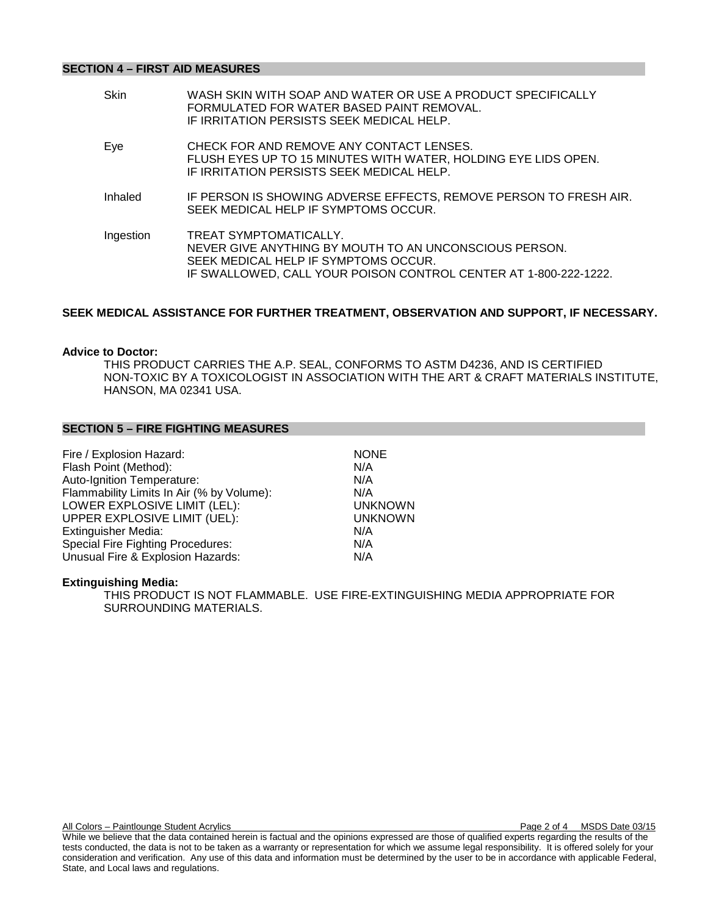#### **SECTION 4 – FIRST AID MEASURES**

| WASH SKIN WITH SOAP AND WATER OR USE A PRODUCT SPECIFICALLY<br>FORMULATED FOR WATER BASED PAINT REMOVAL.<br>IF IRRITATION PERSISTS SEEK MEDICAL HELP.                                        |
|----------------------------------------------------------------------------------------------------------------------------------------------------------------------------------------------|
| CHECK FOR AND REMOVE ANY CONTACT LENSES.<br>FLUSH EYES UP TO 15 MINUTES WITH WATER, HOLDING EYE LIDS OPEN.<br>IF IRRITATION PERSISTS SEEK MEDICAL HELP.                                      |
| IF PERSON IS SHOWING ADVERSE EFFECTS, REMOVE PERSON TO FRESH AIR.<br>SEEK MEDICAL HELP IF SYMPTOMS OCCUR.                                                                                    |
| TREAT SYMPTOMATICALLY.<br>NEVER GIVE ANYTHING BY MOUTH TO AN UNCONSCIOUS PERSON.<br>SEEK MEDICAL HELP IF SYMPTOMS OCCUR.<br>IF SWALLOWED, CALL YOUR POISON CONTROL CENTER AT 1-800-222-1222. |
|                                                                                                                                                                                              |

## **SEEK MEDICAL ASSISTANCE FOR FURTHER TREATMENT, OBSERVATION AND SUPPORT, IF NECESSARY.**

#### **Advice to Doctor:**

THIS PRODUCT CARRIES THE A.P. SEAL, CONFORMS TO ASTM D4236, AND IS CERTIFIED NON-TOXIC BY A TOXICOLOGIST IN ASSOCIATION WITH THE ART & CRAFT MATERIALS INSTITUTE, HANSON, MA 02341 USA.

#### **SECTION 5 – FIRE FIGHTING MEASURES**

| Fire / Explosion Hazard:                  | <b>NONE</b>    |
|-------------------------------------------|----------------|
| Flash Point (Method):                     | N/A            |
| Auto-Ignition Temperature:                | N/A            |
| Flammability Limits In Air (% by Volume): | N/A            |
| LOWER EXPLOSIVE LIMIT (LEL):              | <b>UNKNOWN</b> |
| UPPER EXPLOSIVE LIMIT (UEL):              | <b>UNKNOWN</b> |
| <b>Extinguisher Media:</b>                | N/A            |
| <b>Special Fire Fighting Procedures:</b>  | N/A            |
| Unusual Fire & Explosion Hazards:         | N/A            |

#### **Extinguishing Media:**

THIS PRODUCT IS NOT FLAMMABLE. USE FIRE-EXTINGUISHING MEDIA APPROPRIATE FOR SURROUNDING MATERIALS.

While we believe that the data contained herein is factual and the opinions expressed are those of qualified experts regarding the results of the tests conducted, the data is not to be taken as a warranty or representation for which we assume legal responsibility. It is offered solely for your consideration and verification. Any use of this data and information must be determined by the user to be in accordance with applicable Federal, State, and Local laws and regulations.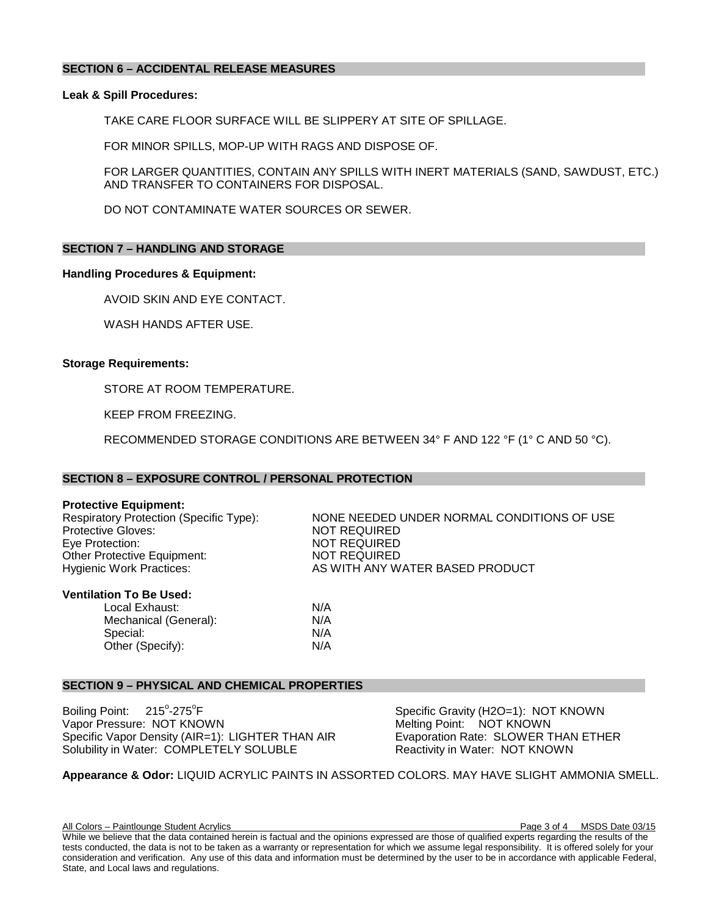### **SECTION 6 – ACCIDENTAL RELEASE MEASURES**

#### **Leak & Spill Procedures:**

TAKE CARE FLOOR SURFACE WILL BE SLIPPERY AT SITE OF SPILLAGE.

FOR MINOR SPILLS, MOP-UP WITH RAGS AND DISPOSE OF.

FOR LARGER QUANTITIES, CONTAIN ANY SPILLS WITH INERT MATERIALS (SAND, SAWDUST, ETC.) AND TRANSFER TO CONTAINERS FOR DISPOSAL.

DO NOT CONTAMINATE WATER SOURCES OR SEWER.

#### **SECTION 7 – HANDLING AND STORAGE**

#### **Handling Procedures & Equipment:**

AVOID SKIN AND EYE CONTACT.

WASH HANDS AFTER USE.

#### **Storage Requirements:**

STORE AT ROOM TEMPERATURE.

KEEP FROM FREEZING.

RECOMMENDED STORAGE CONDITIONS ARE BETWEEN 34° F AND 122 °F (1° C AND 50 °C).

#### **SECTION 8 – EXPOSURE CONTROL / PERSONAL PROTECTION**

**Protective Equipment:**<br>Respiratory Protection (Specific Type): Protective Gloves:<br>
Eve Protection: 
NOT REQUIRED<br>
NOT REQUIRED Other Protective Equipment:<br>Hygienic Work Practices:

NONE NEEDED UNDER NORMAL CONDITIONS OF USE NOT REQUIRED<br>NOT REQUIRED AS WITH ANY WATER BASED PRODUCT

#### **Ventilation To Be Used:**

Local Exhaust: N/A Mechanical (General):  $N/A$ <br>Special:  $N/A$ Special: Other (Specify): N/A

#### **SECTION 9 – PHYSICAL AND CHEMICAL PROPERTIES**

Boiling Point:  $215^{\circ} - 275^{\circ}$ F Vapor Pressure: NOT KNOWN<br>
Specific Vapor Density (AIR=1): LIGHTER THAN AIR Evaporation Rate: SLOWER THAN ETHER Specific Vapor Density (AIR=1): LIGHTER THAN AIR Solubility in Water: COMPLETELY SOLUBLE Reactivity in Water: NOT KNOWN

Specific Gravity (H2O=1): NOT KNOWN<br>Melting Point: NOT KNOWN

# **Appearance & Odor:** LIQUID ACRYLIC PAINTS IN ASSORTED COLORS. MAY HAVE SLIGHT AMMONIA SMELL.

All Colors – Paintlounge Student Acrylics **Page 3 of 4 MSDS** Date 03/15

While we believe that the data contained herein is factual and the opinions expressed are those of qualified experts regarding the results of the tests conducted, the data is not to be taken as a warranty or representation for which we assume legal responsibility. It is offered solely for your consideration and verification. Any use of this data and information must be determined by the user to be in accordance with applicable Federal, State, and Local laws and regulations.